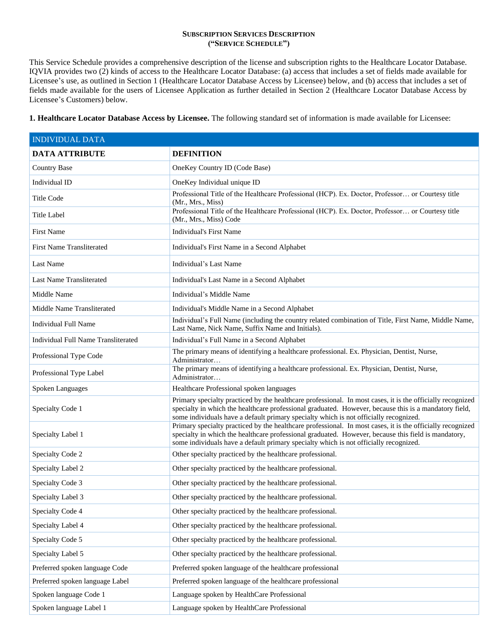## **SUBSCRIPTION SERVICES DESCRIPTION ("SERVICE SCHEDULE")**

This Service Schedule provides a comprehensive description of the license and subscription rights to the Healthcare Locator Database. IQVIA provides two (2) kinds of access to the Healthcare Locator Database: (a) access that includes a set of fields made available for Licensee's use, as outlined in Section 1 (Healthcare Locator Database Access by Licensee) below, and (b) access that includes a set of fields made available for the users of Licensee Application as further detailed in Section 2 (Healthcare Locator Database Access by Licensee's Customers) below.

**1. Healthcare Locator Database Access by Licensee.** The following standard set of information is made available for Licensee:

| <b>INDIVIDUAL DATA</b>              |                                                                                                                                                                                                                                                                                                              |  |
|-------------------------------------|--------------------------------------------------------------------------------------------------------------------------------------------------------------------------------------------------------------------------------------------------------------------------------------------------------------|--|
| <b>DATA ATTRIBUTE</b>               | <b>DEFINITION</b>                                                                                                                                                                                                                                                                                            |  |
| <b>Country Base</b>                 | OneKey Country ID (Code Base)                                                                                                                                                                                                                                                                                |  |
| Individual ID                       | OneKey Individual unique ID                                                                                                                                                                                                                                                                                  |  |
| <b>Title Code</b>                   | Professional Title of the Healthcare Professional (HCP). Ex. Doctor, Professor or Courtesy title<br>(Mr., Mrs., Miss)                                                                                                                                                                                        |  |
| <b>Title Label</b>                  | Professional Title of the Healthcare Professional (HCP). Ex. Doctor, Professor or Courtesy title<br>(Mr., Mrs., Miss) Code                                                                                                                                                                                   |  |
| <b>First Name</b>                   | <b>Individual's First Name</b>                                                                                                                                                                                                                                                                               |  |
| <b>First Name Transliterated</b>    | Individual's First Name in a Second Alphabet                                                                                                                                                                                                                                                                 |  |
| Last Name                           | Individual's Last Name                                                                                                                                                                                                                                                                                       |  |
| Last Name Transliterated            | Individual's Last Name in a Second Alphabet                                                                                                                                                                                                                                                                  |  |
| Middle Name                         | Individual's Middle Name                                                                                                                                                                                                                                                                                     |  |
| Middle Name Transliterated          | Individual's Middle Name in a Second Alphabet                                                                                                                                                                                                                                                                |  |
| <b>Individual Full Name</b>         | Individual's Full Name (including the country related combination of Title, First Name, Middle Name,<br>Last Name, Nick Name, Suffix Name and Initials).                                                                                                                                                     |  |
| Individual Full Name Transliterated | Individual's Full Name in a Second Alphabet                                                                                                                                                                                                                                                                  |  |
| Professional Type Code              | The primary means of identifying a healthcare professional. Ex. Physician, Dentist, Nurse,<br>Administrator                                                                                                                                                                                                  |  |
| Professional Type Label             | The primary means of identifying a healthcare professional. Ex. Physician, Dentist, Nurse,<br>Administrator                                                                                                                                                                                                  |  |
| Spoken Languages                    | Healthcare Professional spoken languages                                                                                                                                                                                                                                                                     |  |
| Specialty Code 1                    | Primary specialty practiced by the healthcare professional. In most cases, it is the officially recognized<br>specialty in which the healthcare professional graduated. However, because this is a mandatory field,<br>some individuals have a default primary specialty which is not officially recognized. |  |
| Specialty Label 1                   | Primary specialty practiced by the healthcare professional. In most cases, it is the officially recognized<br>specialty in which the healthcare professional graduated. However, because this field is mandatory,<br>some individuals have a default primary specialty which is not officially recognized.   |  |
| Specialty Code 2                    | Other specialty practiced by the healthcare professional.                                                                                                                                                                                                                                                    |  |
| Specialty Label 2                   | Other specialty practiced by the healthcare professional.                                                                                                                                                                                                                                                    |  |
| Specialty Code 3                    | Other specialty practiced by the healthcare professional.                                                                                                                                                                                                                                                    |  |
| Specialty Label 3                   | Other specialty practiced by the healthcare professional.                                                                                                                                                                                                                                                    |  |
| Specialty Code 4                    | Other specialty practiced by the healthcare professional.                                                                                                                                                                                                                                                    |  |
| Specialty Label 4                   | Other specialty practiced by the healthcare professional.                                                                                                                                                                                                                                                    |  |
| Specialty Code 5                    | Other specialty practiced by the healthcare professional.                                                                                                                                                                                                                                                    |  |
| Specialty Label 5                   | Other specialty practiced by the healthcare professional.                                                                                                                                                                                                                                                    |  |
| Preferred spoken language Code      | Preferred spoken language of the healthcare professional                                                                                                                                                                                                                                                     |  |
| Preferred spoken language Label     | Preferred spoken language of the healthcare professional                                                                                                                                                                                                                                                     |  |
| Spoken language Code 1              | Language spoken by HealthCare Professional                                                                                                                                                                                                                                                                   |  |
| Spoken language Label 1             | Language spoken by HealthCare Professional                                                                                                                                                                                                                                                                   |  |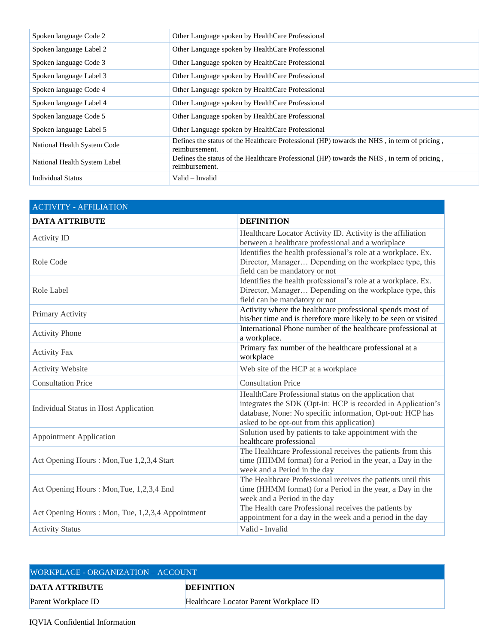| Spoken language Code 2       | Other Language spoken by HealthCare Professional                                                              |
|------------------------------|---------------------------------------------------------------------------------------------------------------|
| Spoken language Label 2      | Other Language spoken by HealthCare Professional                                                              |
| Spoken language Code 3       | Other Language spoken by HealthCare Professional                                                              |
| Spoken language Label 3      | Other Language spoken by HealthCare Professional                                                              |
| Spoken language Code 4       | Other Language spoken by HealthCare Professional                                                              |
| Spoken language Label 4      | Other Language spoken by HealthCare Professional                                                              |
| Spoken language Code 5       | Other Language spoken by HealthCare Professional                                                              |
| Spoken language Label 5      | Other Language spoken by HealthCare Professional                                                              |
| National Health System Code  | Defines the status of the Healthcare Professional (HP) towards the NHS, in term of pricing.<br>reimbursement. |
| National Health System Label | Defines the status of the Healthcare Professional (HP) towards the NHS, in term of pricing,<br>reimbursement. |
| <b>Individual Status</b>     | Valid - Invalid                                                                                               |

| <b>ACTIVITY - AFFILIATION</b>                    |                                                                                                                                                                                                                                   |
|--------------------------------------------------|-----------------------------------------------------------------------------------------------------------------------------------------------------------------------------------------------------------------------------------|
| <b>DATA ATTRIBUTE</b>                            | <b>DEFINITION</b>                                                                                                                                                                                                                 |
| Activity ID                                      | Healthcare Locator Activity ID. Activity is the affiliation<br>between a healthcare professional and a workplace                                                                                                                  |
| Role Code                                        | Identifies the health professional's role at a workplace. Ex.<br>Director, Manager Depending on the workplace type, this<br>field can be mandatory or not                                                                         |
| Role Label                                       | Identifies the health professional's role at a workplace. Ex.<br>Director, Manager Depending on the workplace type, this<br>field can be mandatory or not                                                                         |
| Primary Activity                                 | Activity where the healthcare professional spends most of<br>his/her time and is therefore more likely to be seen or visited                                                                                                      |
| <b>Activity Phone</b>                            | International Phone number of the healthcare professional at<br>a workplace.                                                                                                                                                      |
| <b>Activity Fax</b>                              | Primary fax number of the healthcare professional at a<br>workplace                                                                                                                                                               |
| <b>Activity Website</b>                          | Web site of the HCP at a workplace                                                                                                                                                                                                |
| <b>Consultation Price</b>                        | <b>Consultation Price</b>                                                                                                                                                                                                         |
| Individual Status in Host Application            | HealthCare Professional status on the application that<br>integrates the SDK (Opt-in: HCP is recorded in Application's<br>database, None: No specific information, Opt-out: HCP has<br>asked to be opt-out from this application) |
| <b>Appointment Application</b>                   | Solution used by patients to take appointment with the<br>healthcare professional                                                                                                                                                 |
| Act Opening Hours: Mon, Tue 1,2,3,4 Start        | The Healthcare Professional receives the patients from this<br>time (HHMM format) for a Period in the year, a Day in the<br>week and a Period in the day                                                                          |
| Act Opening Hours: Mon, Tue, 1,2,3,4 End         | The Healthcare Professional receives the patients until this<br>time (HHMM format) for a Period in the year, a Day in the<br>week and a Period in the day                                                                         |
| Act Opening Hours: Mon, Tue, 1,2,3,4 Appointment | The Health care Professional receives the patients by<br>appointment for a day in the week and a period in the day                                                                                                                |
| <b>Activity Status</b>                           | Valid - Invalid                                                                                                                                                                                                                   |

| WORKPLACE - ORGANIZATION – ACCOUNT |                                        |  |
|------------------------------------|----------------------------------------|--|
| DATA ATTRIBUTE                     | <b>DEFINITION</b>                      |  |
| Parent Workplace ID                | Healthcare Locator Parent Workplace ID |  |

## IQVIA Confidential Information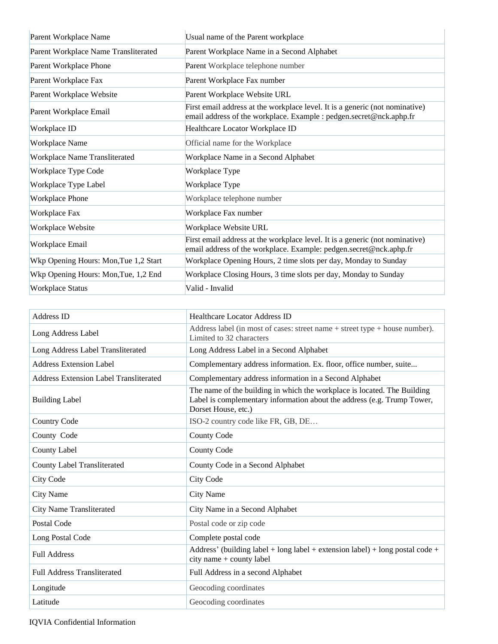| Parent Workplace Name                 | Usual name of the Parent workplace                                                                                                                  |
|---------------------------------------|-----------------------------------------------------------------------------------------------------------------------------------------------------|
| Parent Workplace Name Transliterated  | Parent Workplace Name in a Second Alphabet                                                                                                          |
| Parent Workplace Phone                | Parent Workplace telephone number                                                                                                                   |
| Parent Workplace Fax                  | Parent Workplace Fax number                                                                                                                         |
| Parent Workplace Website              | Parent Workplace Website URL                                                                                                                        |
| Parent Workplace Email                | First email address at the workplace level. It is a generic (not nominative)<br>email address of the workplace. Example : pedgen.secret@nck.aphp.fr |
| Workplace ID                          | Healthcare Locator Workplace ID                                                                                                                     |
| <b>Workplace Name</b>                 | Official name for the Workplace                                                                                                                     |
| <b>Workplace Name Transliterated</b>  | Workplace Name in a Second Alphabet                                                                                                                 |
| Workplace Type Code                   | Workplace Type                                                                                                                                      |
| Workplace Type Label                  | Workplace Type                                                                                                                                      |
| <b>Workplace Phone</b>                | Workplace telephone number                                                                                                                          |
| Workplace Fax                         | Workplace Fax number                                                                                                                                |
| Workplace Website                     | Workplace Website URL                                                                                                                               |
| Workplace Email                       | First email address at the workplace level. It is a generic (not nominative)<br>email address of the workplace. Example: pedgen.secret@nck.aphp.fr  |
| Wkp Opening Hours: Mon, Tue 1,2 Start | Workplace Opening Hours, 2 time slots per day, Monday to Sunday                                                                                     |
| Wkp Opening Hours: Mon, Tue, 1,2 End  | Workplace Closing Hours, 3 time slots per day, Monday to Sunday                                                                                     |
| <b>Workplace Status</b>               | Valid - Invalid                                                                                                                                     |

| Address ID                                    | <b>Healthcare Locator Address ID</b>                                                                                                                                       |
|-----------------------------------------------|----------------------------------------------------------------------------------------------------------------------------------------------------------------------------|
| Long Address Label                            | Address label (in most of cases: street name $+$ street type $+$ house number).<br>Limited to 32 characters                                                                |
| Long Address Label Transliterated             | Long Address Label in a Second Alphabet                                                                                                                                    |
| <b>Address Extension Label</b>                | Complementary address information. Ex. floor, office number, suite                                                                                                         |
| <b>Address Extension Label Transliterated</b> | Complementary address information in a Second Alphabet                                                                                                                     |
| <b>Building Label</b>                         | The name of the building in which the workplace is located. The Building<br>Label is complementary information about the address (e.g. Trump Tower,<br>Dorset House, etc.) |
| <b>Country Code</b>                           | ISO-2 country code like FR, GB, DE                                                                                                                                         |
| County Code                                   | <b>County Code</b>                                                                                                                                                         |
| County Label                                  | County Code                                                                                                                                                                |
| <b>County Label Transliterated</b>            | County Code in a Second Alphabet                                                                                                                                           |
| <b>City Code</b>                              | City Code                                                                                                                                                                  |
| <b>City Name</b>                              | <b>City Name</b>                                                                                                                                                           |
| <b>City Name Transliterated</b>               | City Name in a Second Alphabet                                                                                                                                             |
| Postal Code                                   | Postal code or zip code                                                                                                                                                    |
| Long Postal Code                              | Complete postal code                                                                                                                                                       |
| <b>Full Address</b>                           | Address' (building label + long label + extension label) + long postal code +<br>city name + county label                                                                  |
| <b>Full Address Transliterated</b>            | Full Address in a second Alphabet                                                                                                                                          |
| Longitude                                     | Geocoding coordinates                                                                                                                                                      |
| Latitude                                      | Geocoding coordinates                                                                                                                                                      |

IQVIA Confidential Information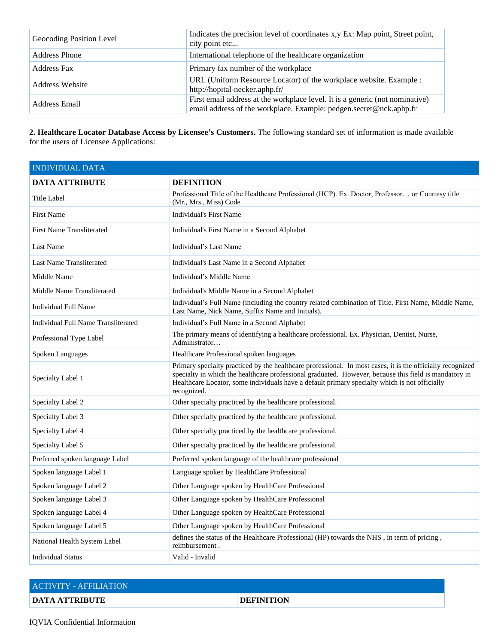| Geocoding Position Level | Indicates the precision level of coordinates x,y Ex: Map point, Street point,<br>city point etc                                                    |
|--------------------------|----------------------------------------------------------------------------------------------------------------------------------------------------|
| Address Phone            | International telephone of the healthcare organization                                                                                             |
| <b>Address Fax</b>       | Primary fax number of the workplace                                                                                                                |
| Address Website          | URL (Uniform Resource Locator) of the workplace website. Example :<br>http://hopital-necker.aphp.fr/                                               |
| Address Email            | First email address at the workplace level. It is a generic (not nominative)<br>email address of the workplace. Example: pedgen.secret@nck.aphp.fr |

**2. Healthcare Locator Database Access by Licensee's Customers.** The following standard set of information is made available for the users of Licensee Applications:

| <b>INDIVIDUAL DATA</b>              |                                                                                                                                                                                                                                                                                                                                     |
|-------------------------------------|-------------------------------------------------------------------------------------------------------------------------------------------------------------------------------------------------------------------------------------------------------------------------------------------------------------------------------------|
| <b>DATA ATTRIBUTE</b>               | <b>DEFINITION</b>                                                                                                                                                                                                                                                                                                                   |
| Title Label                         | Professional Title of the Healthcare Professional (HCP). Ex. Doctor, Professor or Courtesy title<br>(Mr., Mrs., Miss) Code                                                                                                                                                                                                          |
| <b>First Name</b>                   | <b>Individual's First Name</b>                                                                                                                                                                                                                                                                                                      |
| <b>First Name Transliterated</b>    | Individual's First Name in a Second Alphabet                                                                                                                                                                                                                                                                                        |
| <b>Last Name</b>                    | Individual's Last Name                                                                                                                                                                                                                                                                                                              |
| <b>Last Name Transliterated</b>     | Individual's Last Name in a Second Alphabet                                                                                                                                                                                                                                                                                         |
| Middle Name                         | Individual's Middle Name                                                                                                                                                                                                                                                                                                            |
| Middle Name Transliterated          | Individual's Middle Name in a Second Alphabet                                                                                                                                                                                                                                                                                       |
| <b>Individual Full Name</b>         | Individual's Full Name (including the country related combination of Title, First Name, Middle Name,<br>Last Name, Nick Name, Suffix Name and Initials).                                                                                                                                                                            |
| Individual Full Name Transliterated | Individual's Full Name in a Second Alphabet                                                                                                                                                                                                                                                                                         |
| Professional Type Label             | The primary means of identifying a healthcare professional. Ex. Physician, Dentist, Nurse,<br>Administrator                                                                                                                                                                                                                         |
| Spoken Languages                    | Healthcare Professional spoken languages                                                                                                                                                                                                                                                                                            |
| Specialty Label 1                   | Primary specialty practiced by the healthcare professional. In most cases, it is the officially recognized<br>specialty in which the healthcare professional graduated. However, because this field is mandatory in<br>Healthcare Locator, some individuals have a default primary specialty which is not officially<br>recognized. |
| Specialty Label 2                   | Other specialty practiced by the healthcare professional.                                                                                                                                                                                                                                                                           |
| Specialty Label 3                   | Other specialty practiced by the healthcare professional.                                                                                                                                                                                                                                                                           |
| Specialty Label 4                   | Other specialty practiced by the healthcare professional.                                                                                                                                                                                                                                                                           |
| Specialty Label 5                   | Other specialty practiced by the healthcare professional.                                                                                                                                                                                                                                                                           |
| Preferred spoken language Label     | Preferred spoken language of the healthcare professional                                                                                                                                                                                                                                                                            |
| Spoken language Label 1             | Language spoken by HealthCare Professional                                                                                                                                                                                                                                                                                          |
| Spoken language Label 2             | Other Language spoken by HealthCare Professional                                                                                                                                                                                                                                                                                    |
| Spoken language Label 3             | Other Language spoken by HealthCare Professional                                                                                                                                                                                                                                                                                    |
| Spoken language Label 4             | Other Language spoken by HealthCare Professional                                                                                                                                                                                                                                                                                    |
| Spoken language Label 5             | Other Language spoken by HealthCare Professional                                                                                                                                                                                                                                                                                    |
| National Health System Label        | defines the status of the Healthcare Professional (HP) towards the NHS, in term of pricing,<br>reimbursement.                                                                                                                                                                                                                       |
| <b>Individual Status</b>            | Valid - Invalid                                                                                                                                                                                                                                                                                                                     |

| <b>ACTIVITY - AFFILIATION</b> |                   |
|-------------------------------|-------------------|
| <b>DATA ATTRIBUTE</b>         | <b>DEFINITION</b> |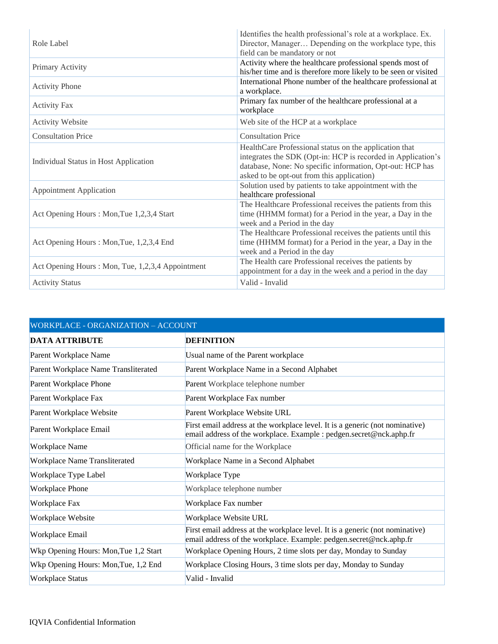| Role Label                                        | Identifies the health professional's role at a workplace. Ex.<br>Director, Manager Depending on the workplace type, this<br>field can be mandatory or not                                                                         |
|---------------------------------------------------|-----------------------------------------------------------------------------------------------------------------------------------------------------------------------------------------------------------------------------------|
| Primary Activity                                  | Activity where the healthcare professional spends most of<br>his/her time and is therefore more likely to be seen or visited                                                                                                      |
| <b>Activity Phone</b>                             | International Phone number of the healthcare professional at<br>a workplace.                                                                                                                                                      |
| <b>Activity Fax</b>                               | Primary fax number of the healthcare professional at a<br>workplace                                                                                                                                                               |
| <b>Activity Website</b>                           | Web site of the HCP at a workplace                                                                                                                                                                                                |
| <b>Consultation Price</b>                         | <b>Consultation Price</b>                                                                                                                                                                                                         |
| Individual Status in Host Application             | HealthCare Professional status on the application that<br>integrates the SDK (Opt-in: HCP is recorded in Application's<br>database, None: No specific information, Opt-out: HCP has<br>asked to be opt-out from this application) |
| <b>Appointment Application</b>                    | Solution used by patients to take appointment with the<br>healthcare professional                                                                                                                                                 |
| Act Opening Hours : Mon, Tue 1,2,3,4 Start        | The Healthcare Professional receives the patients from this<br>time (HHMM format) for a Period in the year, a Day in the<br>week and a Period in the day                                                                          |
| Act Opening Hours: Mon, Tue, 1,2,3,4 End          | The Healthcare Professional receives the patients until this<br>time (HHMM format) for a Period in the year, a Day in the<br>week and a Period in the day                                                                         |
| Act Opening Hours : Mon, Tue, 1,2,3,4 Appointment | The Health care Professional receives the patients by<br>appointment for a day in the week and a period in the day                                                                                                                |
| <b>Activity Status</b>                            | Valid - Invalid                                                                                                                                                                                                                   |

| WORKPLACE - ORGANIZATION - ACCOUNT    |                                                                                                                                                     |  |
|---------------------------------------|-----------------------------------------------------------------------------------------------------------------------------------------------------|--|
| <b>DATA ATTRIBUTE</b>                 | <b>DEFINITION</b>                                                                                                                                   |  |
| Parent Workplace Name                 | Usual name of the Parent workplace                                                                                                                  |  |
| Parent Workplace Name Transliterated  | Parent Workplace Name in a Second Alphabet                                                                                                          |  |
| Parent Workplace Phone                | Parent Workplace telephone number                                                                                                                   |  |
| Parent Workplace Fax                  | Parent Workplace Fax number                                                                                                                         |  |
| Parent Workplace Website              | Parent Workplace Website URL                                                                                                                        |  |
| Parent Workplace Email                | First email address at the workplace level. It is a generic (not nominative)<br>email address of the workplace. Example : pedgen.secret@nck.aphp.fr |  |
| <b>Workplace Name</b>                 | Official name for the Workplace                                                                                                                     |  |
| <b>Workplace Name Transliterated</b>  | Workplace Name in a Second Alphabet                                                                                                                 |  |
| Workplace Type Label                  | Workplace Type                                                                                                                                      |  |
| <b>Workplace Phone</b>                | Workplace telephone number                                                                                                                          |  |
| Workplace Fax                         | Workplace Fax number                                                                                                                                |  |
| Workplace Website                     | Workplace Website URL                                                                                                                               |  |
| Workplace Email                       | First email address at the workplace level. It is a generic (not nominative)<br>email address of the workplace. Example: pedgen.secret@nck.aphp.fr  |  |
| Wkp Opening Hours: Mon, Tue 1,2 Start | Workplace Opening Hours, 2 time slots per day, Monday to Sunday                                                                                     |  |
| Wkp Opening Hours: Mon, Tue, 1,2 End  | Workplace Closing Hours, 3 time slots per day, Monday to Sunday                                                                                     |  |
| <b>Workplace Status</b>               | Valid - Invalid                                                                                                                                     |  |